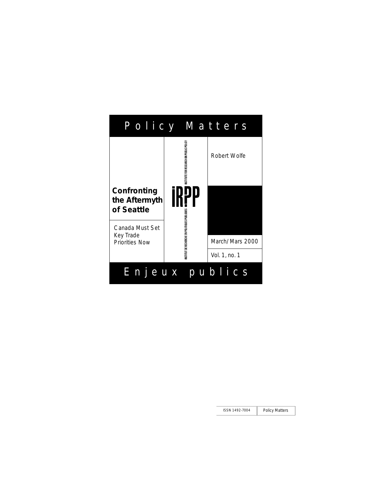|                                                       | Policy Matters                               |                 |
|-------------------------------------------------------|----------------------------------------------|-----------------|
|                                                       | NSTITUTE FOR RESEARCH ON PUBLIC POLICY       | Robert Wolfe    |
| Confronting<br>the Aftermyth<br>of Seattle            |                                              |                 |
| Canada Must Set<br>Key Trade<br><b>Priorities Now</b> | NSTITUT DE RECHERCHE EN POLITIQUES PUBLIQUES |                 |
|                                                       |                                              | March/Mars 2000 |
|                                                       |                                              | Vol. 1, no. 1   |
| Enjeux                                                |                                              | publics         |

ISSN 1492-7004 Policy Matters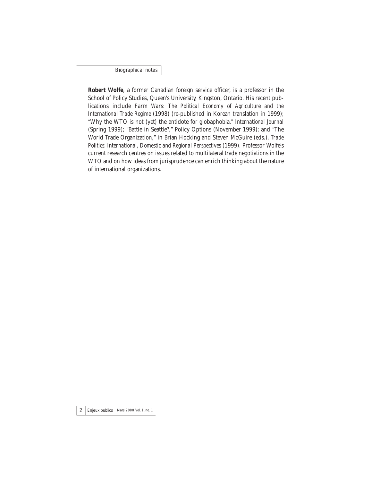Biographical notes

**Robert Wolfe**, a former Canadian foreign service officer, is a professor in the School of Policy Studies, Queen's University, Kingston, Ontario. His recent publications include *Farm Wars: The Political Economy of Agriculture and the International Trade Regime* (1998) (re-published in Korean translation in 1999); "Why the WTO is not (yet) the antidote for globaphobia," *International Journal* (Spring 1999); "Battle in Seattle?," Policy Options (November 1999); and "The World Trade Organization," in Brian Hocking and Steven McGuire (eds.), *Trade Politics: International, Domestic and Regional Perspectives* (1999). Professor Wolfe's current research centres on issues related to multilateral trade negotiations in the WTO and on how ideas from jurisprudence can enrich thinking about the nature of international organizations.

 $2$  | Enjeux publics | Mars 2000 Vol. 1, no. 1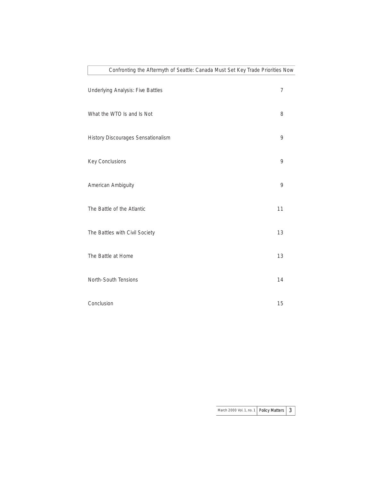| Confronting the Aftermyth of Seattle: Canada Must Set Key Trade Priorities No |    |
|-------------------------------------------------------------------------------|----|
| Underlying Analysis: Five Battles                                             | 7  |
| What the WTO Is and Is Not                                                    | 8  |
| History Discourages Sensationalism                                            | 9  |
| Key Conclusions                                                               | 9  |
| American Ambiguity                                                            | 9  |
| The Battle of the Atlantic                                                    | 11 |
| The Battles with Civil Society                                                | 13 |
| The Battle at Home                                                            | 13 |
| North-South Tensions                                                          | 14 |
| Conclusion                                                                    | 15 |

March 2000 Vol. 1, no. 1 Policy Matters  $\boxed{3}$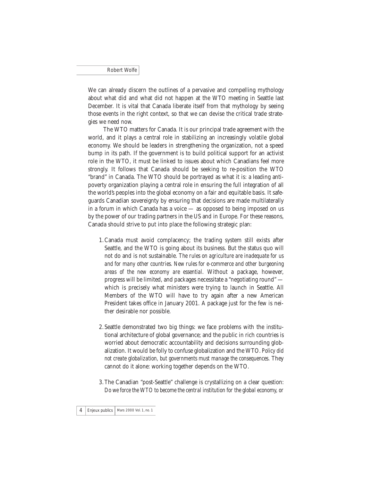We can already discern the outlines of a pervasive and compelling mythology about what did and what did not happen at the WTO meeting in Seattle last December. It is vital that Canada liberate itself from that mythology by seeing those events in the right context, so that we can devise the critical trade strategies we need now.

The WTO matters for Canada. It is our principal trade agreement with the world, and it plays a central role in stabilizing an increasingly volatile global economy. We should be leaders in strengthening the organization, not a speed bump in its path. If the government is to build political support for an activist role in the WTO, it must be linked to issues about which Canadians feel more strongly. It follows that Canada should be seeking to re-position the WTO "brand" in Canada. The WTO should be portrayed as what it is: a leading antipoverty organization playing a central role in ensuring the full integration of all the world's peoples into the global economy on a fair and equitable basis. It safeguards Canadian sovereignty by ensuring that decisions are made multilaterally in a forum in which Canada has a voice — as opposed to being imposed on us by the power of our trading partners in the US and in Europe. For these reasons, Canada should strive to put into place the following strategic plan:

- 1.Canada must avoid complacency; the trading system still exists after Seattle, and the WTO is going about its business. But the status quo will not do and is not sustainable. *The rules on agriculture are inadequate for us and for many other countries. New rules for e-commerce and other burgeoning areas of the new economy are essential*. Without a package, however, progress will be limited, and packages necessitate a "negotiating round" which is precisely what ministers were trying to launch in Seattle. All Members of the WTO will have to try again after a new American President takes office in January 2001. A package just for the few is neither desirable nor possible.
- 2.Seattle demonstrated two big things: we face problems with the institutional architecture of global governance; and the public in rich countries is worried about democratic accountability and decisions surrounding globalization. It would be folly to confuse globalization and the WTO. *Policy did not create globalization, but governments must manage the consequences*. They cannot do it alone: working together depends on the WTO.
- 3.The Canadian "post-Seattle" challenge is crystallizing on a clear question: *Do we force the WTO to become the central institution for the global economy, or*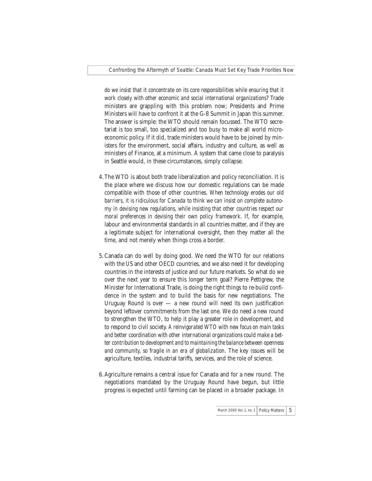*do we insist that it concentrate on its core responsibilities while ensuring that it work closely with other economic and social international organizations*? Trade ministers are grappling with this problem now; Presidents and Prime Ministers will have to confront it at the G-8 Summit in Japan this summer. The answer is simple: the WTO should remain focussed. The WTO secretariat is too small, too specialized and too busy to make all world microeconomic policy. If it did, trade ministers would have to be joined by ministers for the environment, social affairs, industry and culture, as well as ministers of Finance, at a minimum. A system that came close to paralysis in Seattle would, in these circumstances, simply collapse.

- 4.The WTO is about both trade liberalization and policy reconciliation. It is the place where we discuss how our domestic regulations can be made compatible with those of other countries. *When technology erodes our old barriers, it is ridiculous for Canada to think we can insist on complete autonomy in devising new regulations, while insisting that other countries respect our moral preferences in devising their own policy framework*. If, for example, labour and environmental standards in all countries matter, and if they are a legitimate subject for international oversight, then they matter all the time, and not merely when things cross a border.
- 5.Canada can do well by doing good. We need the WTO for our relations with the US and other OECD countries, and we also need it for developing countries in the interests of justice and our future markets. So what do we over the next year to ensure this longer term goal? Pierre Pettigrew, the Minister for International Trade, is doing the right things to re-build confidence in the system and to build the basis for new negotiations. The Uruguay Round is over  $-$  a new round will need its own justification beyond leftover commitments from the last one. We do need a new round to strengthen the WTO, to help it play a greater role in development, and to respond to civil society. *A reinvigorated WTO with new focus on main tasks and better coordination with other international organizations could make a better contribution to development and to maintaining the balance between openness and community, so fragile in an era of globalization*. The key issues will be agriculture, textiles, industrial tariffs, services, and the role of science.
- 6.Agriculture remains a central issue for Canada and for a new round. The negotiations mandated by the Uruguay Round have begun, but little progress is expected until farming can be placed in a broader package. In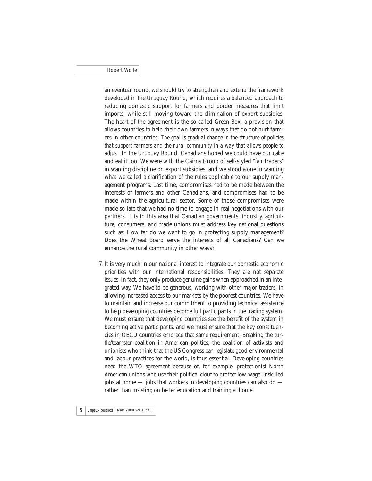an eventual round, we should try to strengthen and extend the framework developed in the Uruguay Round, which requires a balanced approach to reducing domestic support for farmers and border measures that limit imports, while still moving toward the elimination of export subsidies. The heart of the agreement is the so-called Green-Box, a provision that allows countries to help their own farmers in ways that do not hurt farmers in other countries. *The goal is gradual change in the structure of policies that support farmers and the rural community in a way that allows people to adjust*. In the Uruguay Round, Canadians hoped we could have our cake and eat it too. We were with the Cairns Group of self-styled "fair traders" in wanting discipline on export subsidies, and we stood alone in wanting what we called a clarification of the rules applicable to our supply management programs. Last time, compromises had to be made between the interests of farmers and other Canadians, and compromises had to be made within the agricultural sector. Some of those compromises were made so late that we had no time to engage in real negotiations with our partners. It is in this area that Canadian governments, industry, agriculture, consumers, and trade unions must address key national questions such as: How far do we want to go in protecting supply management? Does the Wheat Board serve the interests of all Canadians? Can we enhance the rural community in other ways?

7. It is very much in our national interest to integrate our domestic economic priorities with our international responsibilities. They are not separate issues. In fact, they only produce genuine gains when approached in an integrated way. We have to be generous, working with other major traders, in allowing increased access to our markets by the poorest countries. We have to maintain and increase our commitment to providing technical assistance to help developing countries become full participants in the trading system. We must ensure that developing countries see the benefit of the system in becoming active participants, and we must ensure that the key constituencies in OECD countries embrace that same requirement. Breaking the turtle/teamster coalition in American politics, the coalition of activists and unionists who think that the US Congress can legislate good environmental and labour practices for the world, is thus essential. Developing countries need the WTO agreement because of, for example, protectionist North American unions who use their political clout to protect low-wage unskilled jobs at home  $-$  jobs that workers in developing countries can also do  $$ rather than insisting on better education and training at home.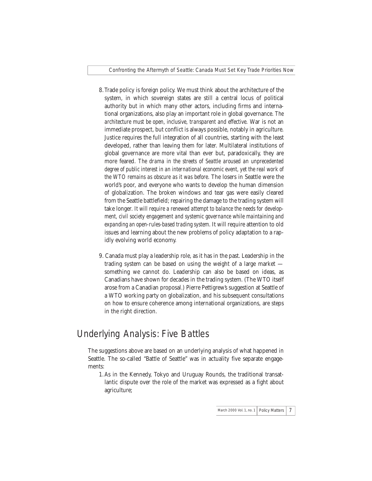- 8.Trade policy is foreign policy. We must think about the architecture of the system, in which sovereign states are still a central locus of political authority but in which many other actors, including firms and international organizations, also play an important role in global governance. *The architecture must be open, inclusive, transparent and effective*. War is not an immediate prospect, but conflict is always possible, notably in agriculture. Justice requires the full integration of all countries, starting with the least developed, rather than leaving them for later. Multilateral institutions of global governance are more vital than ever but, paradoxically, they are more feared. *The drama in the streets of Seattle aroused an unprecedented degree of public interest in an international economic event, yet the real work of the WTO remains as obscure as it was before*. The losers in Seattle were the world's poor, and everyone who wants to develop the human dimension of globalization. The broken windows and tear gas were easily cleared from the Seattle battlefield; repairing the damage to the trading system will take longer. *It will require a renewed attempt to balance the needs for development, civil society engagement and systemic governance while maintaining and expanding an open-rules-based trading system*. It will require attention to old issues and learning about the new problems of policy adaptation to a rapidly evolving world economy.
- 9. Canada must play a leadership role, as it has in the past. Leadership in the trading system can be based on using the weight of a large market something we cannot do. Leadership can also be based on ideas, as Canadians have shown for decades in the trading system. (The WTO itself arose from a Canadian proposal.) Pierre Pettigrew's suggestion at Seattle of a WTO working party on globalization, and his subsequent consultations on how to ensure coherence among international organizations, are steps in the right direction.

## Underlying Analysis: Five Battles

The suggestions above are based on an underlying analysis of what happened in Seattle. The so-called "Battle of Seattle" was in actuality five separate engagements:

1.As in the Kennedy, Tokyo and Uruguay Rounds, the traditional transatlantic dispute over the role of the market was expressed as a fight about agriculture;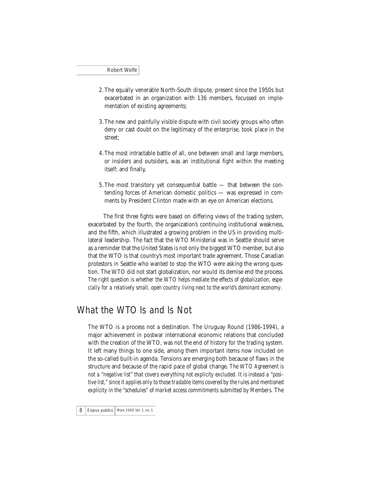- 2.The equally venerable North-South dispute, present since the 1950s but exacerbated in an organization with 136 members, focussed on implementation of existing agreements;
- 3.The new and painfully visible dispute with civil society groups who often deny or cast doubt on the legitimacy of the enterprise, took place in the street;
- 4.The most intractable battle of all, one between small and large members, or insiders and outsiders, was an institutional fight within the meeting itself; and finally,
- 5.The most transitory yet consequential battle that between the contending forces of American domestic politics — was expressed in comments by President Clinton made with an eye on American elections.

The first three fights were based on differing views of the trading system, exacerbated by the fourth, the organization's continuing institutional weakness, and the fifth, which illustrated a growing problem in the US in providing multilateral leadership. The fact that the WTO Ministerial was in Seattle should serve as a reminder that the United States is not only the biggest WTO member, but also that the WTO is that country's most important trade agreement. Those Canadian protestors in Seattle who wanted to stop the WTO were asking the wrong question. The WTO did not start globalization, nor would its demise end the process. *The right question is whether the WTO helps mediate the effects of globalization, especially for a relatively small, open country living next to the world's dominant economy*.

#### What the WTO Is and Is Not

The WTO is a process not a destination. The Uruguay Round (1986-1994), a major achievement in postwar international economic relations that concluded with the creation of the WTO, was not the end of history for the trading system. It left many things to one side, among them important items now included on the so-called built-in agenda. Tensions are emerging both because of flaws in the structure and because of the rapid pace of global change. *The WTO Agreement is not a "negative list" that covers everything not explicity excluded. It is instead a "positive list," since it applies only to those tradable items covered by the rules and mentioned explicity in the "schedules" of market access commitments submitted by Members*. The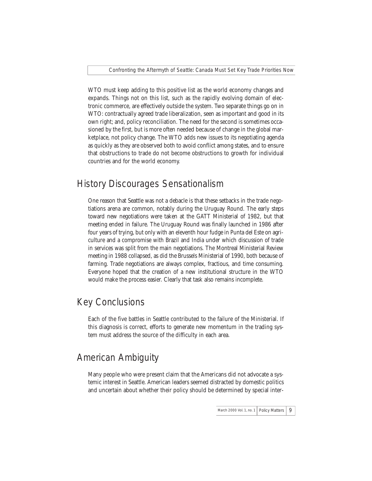WTO must keep adding to this positive list as the world economy changes and expands. Things not on this list, such as the rapidly evolving domain of electronic commerce, are effectively outside the system. Two separate things go on in WTO: contractually agreed trade liberalization, seen as important and good in its own right; and, policy reconciliation. The need for the second is sometimes occasioned by the first, but is more often needed because of change in the global marketplace, not policy change. The WTO adds new issues to its negotiating agenda as quickly as they are observed both to avoid conflict among states, and to ensure that obstructions to trade do not become obstructions to growth for individual countries and for the world economy.

# History Discourages Sensationalism

One reason that Seattle was not a debacle is that these setbacks in the trade negotiations arena are common, notably during the Uruguay Round. The early steps toward new negotiations were taken at the GATT Ministerial of 1982, but that meeting ended in failure. The Uruguay Round was finally launched in 1986 after four years of trying, but only with an eleventh hour fudge in Punta del Este on agriculture and a compromise with Brazil and India under which discussion of trade in services was split from the main negotiations. The Montreal Ministerial Review meeting in 1988 collapsed, as did the Brussels Ministerial of 1990, both because of farming. Trade negotiations are always complex, fractious, and time consuming. Everyone hoped that the creation of a new institutional structure in the WTO would make the process easier. Clearly that task also remains incomplete.

# Key Conclusions

Each of the five battles in Seattle contributed to the failure of the Ministerial. If this diagnosis is correct, efforts to generate new momentum in the trading system must address the source of the difficulty in each area.

# American Ambiguity

Many people who were present claim that the Americans did not advocate a systemic interest in Seattle. American leaders seemed distracted by domestic politics and uncertain about whether their policy should be determined by special inter-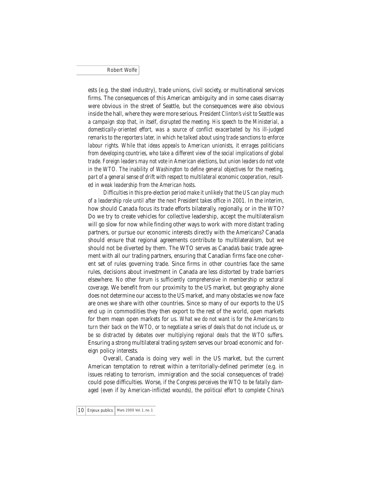ests (e.g. the steel industry), trade unions, civil society, or multinational services firms. The consequences of this American ambiguity and in some cases disarray were obvious in the street of Seattle, but the consequences were also obvious inside the hall, where they were more serious. *President Clinton's visit to Seattle was a campaign stop that, in itself, disrupted the meeting. His speech to the Ministerial, a domestically-oriented effort, was a source of conflict exacerbated by his ill-judged remarks to the reporters later, in which he talked about using trade sanctions to enforce labour rights. While that ideas appeals to American unionists, it enrages politicians from developing countries, who take a different view of the social implications of global trade. Foreign leaders may not vote in American elections, but union leaders do not vote in the WTO. The inability of Washington to define general objectives for the meeting, part of a general sense of drift with respect to multilateral economic cooperation, resulted in weak leadership from the American hosts*.

*Difficulties in this pre-election period make it unlikely that the US can play much of a leadership role until after the next President takes office in 2001*. In the interim, how should Canada focus its trade efforts bilaterally, regionally, or in the WTO? Do we try to create vehicles for collective leadership, accept the multilateralism will go slow for now while finding other ways to work with more distant trading partners, or pursue our economic interests directly with the Americans? Canada should ensure that regional agreements contribute to multilateralism, but we should not be diverted by them. The WTO serves as Canada's basic trade agreement with all our trading partners, ensuring that Canadian firms face one coherent set of rules governing trade. Since firms in other countries face the same rules, decisions about investment in Canada are less distorted by trade barriers elsewhere. *No other forum is sufficiently comprehensive in membership or sectoral coverage*. We benefit from our proximity to the US market, but geography alone does not determine our access to the US market, and many obstacles we now face are ones we share with other countries. Since so many of our exports to the US end up in commodities they then export to the rest of the world, open markets for them mean open markets for us. *What we do not want is for the Americans to turn their back on the WTO, or to negotiate a series of deals that do not include us, or be so distracted by debates over multiplying regional deals that the WTO suffers*. Ensuring a strong multilateral trading system serves our broad economic and foreign policy interests.

Overall, Canada is doing very well in the US market, but the current American temptation to retreat within a territorially-defined perimeter (e.g. in issues relating to terrorism, immigration and the social consequences of trade) could pose difficulties. Worse, *if the Congress perceives the WTO to be fatally damaged (even if by American-inflicted wounds), the political effort to complete China's*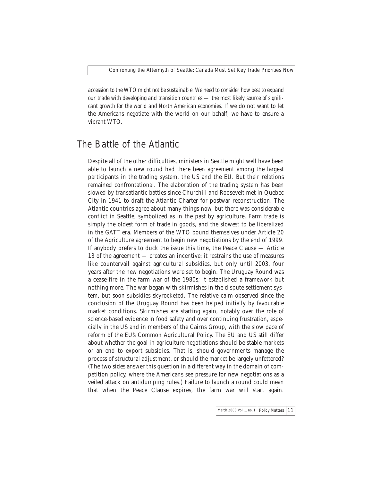*accession to the WTO might not be sustainable. We need to consider how best to expand our trade with developing and transition countries — the most likely source of significant growth for the world and North American economies*. If we do not want to let the Americans negotiate with the world on our behalf, we have to ensure a vibrant WTO.

## The Battle of the Atlantic

Despite all of the other difficulties, ministers in Seattle might well have been able to launch a new round had there been agreement among the largest participants in the trading system, the US and the EU. But their relations remained confrontational. The elaboration of the trading system has been slowed by transatlantic battles since Churchill and Roosevelt met in Quebec City in 1941 to draft the Atlantic Charter for postwar reconstruction. The Atlantic countries agree about many things now, but there was considerable conflict in Seattle, symbolized as in the past by agriculture. Farm trade is simply the oldest form of trade in goods, and the slowest to be liberalized in the GATT era. Members of the WTO bound themselves under Article 20 of the Agriculture agreement to begin new negotiations by the end of 1999. If anybody prefers to duck the issue this time, the Peace Clause — Article 13 of the agreement — creates an incentive: it restrains the use of measures like countervail against agricultural subsidies, but only until 2003, four years after the new negotiations were set to begin. The Uruguay Round was a cease-fire in the farm war of the 1980s; it established a framework but nothing more. The war began with skirmishes in the dispute settlement system, but soon subsidies skyrocketed. The relative calm observed since the conclusion of the Uruguay Round has been helped initially by favourable market conditions. Skirmishes are starting again, notably over the role of science-based evidence in food safety and over continuing frustration, especially in the US and in members of the Cairns Group, with the slow pace of reform of the EU's Common Agricultural Policy. The EU and US still differ about whether the goal in agriculture negotiations should be stable markets or an end to export subsidies. That is, should governments manage the process of structural adjustment, or should the market be largely unfettered? (The two sides answer this question in a different way in the domain of competition policy, where the Americans see pressure for new negotiations as a veiled attack on antidumping rules.) Failure to launch a round could mean that when the Peace Clause expires, the farm war will start again.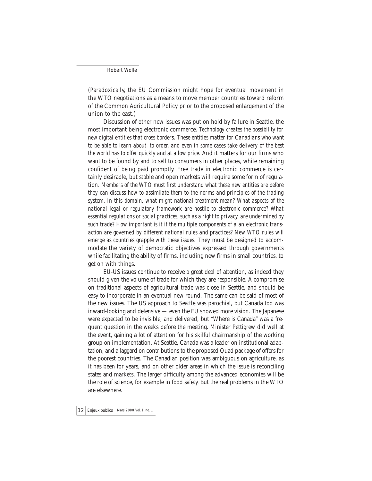(Paradoxically, the EU Commission might hope for eventual movement in the WTO negotiations as a means to move member countries toward reform of the Common Agricultural Policy prior to the proposed enlargement of the union to the east.)

Discussion of other new issues was put on hold by failure in Seattle, the most important being electronic commerce. *Technology creates the possibility for new digital entities that cross borders. These entities matter for Canadians who want to be able to learn about, to order, and even in some cases take delivery of the best the world has to offer quickly and at a low price*. And it matters for our firms who want to be found by and to sell to consumers in other places, while remaining confident of being paid promptly. Free trade in electronic commerce is certainly desirable, but stable and open markets will require some form of regulation. *Members of the WTO must first understand what these new entities are before they can discuss how to assimilate them to the norms and principles of the trading system. In this domain, what might national treatment mean? What aspects of the national legal or regulatory framework are hostile to electronic commerce? What essential regulations or social practices, such as a right to privacy, are undermined by such trade? How important is it if the multiple components of a an electronic transaction are governed by different national rules and practices? New WTO rules will emerge as countries grapple with these issues*. They must be designed to accommodate the variety of democratic objectives expressed through governments while facilitating the ability of firms, including new firms in small countries, to get on with things.

EU-US issues continue to receive a great deal of attention, as indeed they should given the volume of trade for which they are responsible. A compromise on traditional aspects of agricultural trade was close in Seattle, and should be easy to incorporate in an eventual new round. The same can be said of most of the new issues. The US approach to Seattle was parochial, but Canada too was inward-looking and defensive — even the EU showed more vision. The Japanese were expected to be invisible, and delivered, but "Where is Canada" was a frequent question in the weeks before the meeting. Minister Pettigrew did well at the event, gaining a lot of attention for his skilful chairmanship of the working group on implementation. At Seattle, Canada was a leader on institutional adaptation, and a laggard on contributions to the proposed Quad package of offers for the poorest countries. The Canadian position was ambiguous on agriculture, as it has been for years, and on other older areas in which the issue is reconciling states and markets. The larger difficulty among the advanced economies will be the role of science, for example in food safety. But the real problems in the WTO are elsewhere.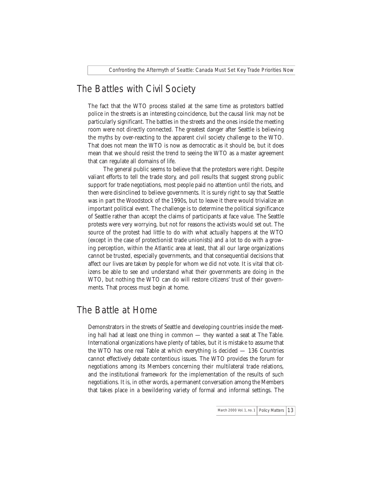## The Battles with Civil Society

The fact that the WTO process stalled at the same time as protestors battled police in the streets is an interesting coincidence, but the causal link may not be particularly significant. The battles in the streets and the ones inside the meeting room were not directly connected. The greatest danger after Seattle is believing the myths by over-reacting to the apparent civil society challenge to the WTO. That does not mean the WTO is now as democratic as it should be, but it does mean that we should resist the trend to seeing the WTO as a master agreement that can regulate all domains of life.

The general public seems to believe that the protestors were right. Despite valiant efforts to tell the trade story, and poll results that suggest strong public support for trade negotiations, most people paid no attention until the riots, and then were disinclined to believe governments. It is surely right to say that Seattle was in part the Woodstock of the 1990s, but to leave it there would trivialize an important political event. The challenge is to determine the political significance of Seattle rather than accept the claims of participants at face value. The Seattle protests were very worrying, but not for reasons the activists would set out. The source of the protest had little to do with what actually happens at the WTO (except in the case of protectionist trade unionists) and a lot to do with a growing perception, within the Atlantic area at least, that all our large organizations cannot be trusted, especially governments, and that consequential decisions that affect our lives are taken by people for whom we did not vote. It is vital that citizens be able to see and understand what their governments are doing in the WTO, but nothing the WTO can do will restore citizens' trust of their governments. That process must begin at home.

#### The Battle at Home

Demonstrators in the streets of Seattle and developing countries inside the meeting hall had at least one thing in common — they wanted a seat at The Table. International organizations have plenty of tables, but it is mistake to assume that the WTO has one real Table at which everything is decided — 136 Countries cannot effectively debate contentious issues. The WTO provides the forum for negotiations among its Members concerning their multilateral trade relations, and the institutional framework for the implementation of the results of such negotiations. It is, in other words, a permanent conversation among the Members that takes place in a bewildering variety of formal and informal settings. The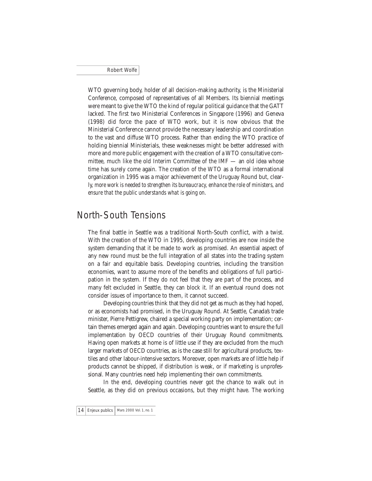WTO governing body, holder of all decision-making authority, is the Ministerial Conference, composed of representatives of all Members. Its biennial meetings were meant to give the WTO the kind of regular political guidance that the GATT lacked. The first two Ministerial Conferences in Singapore (1996) and Geneva (1998) did force the pace of WTO work, but it is now obvious that the Ministerial Conference cannot provide the necessary leadership and coordination to the vast and diffuse WTO process. Rather than ending the WTO practice of holding biennial Ministerials, these weaknesses might be better addressed with more and more public engagement with the creation of a WTO consultative committee, much like the old Interim Committee of the IMF — an old idea whose time has surely come again. The creation of the WTO as a formal international organization in 1995 was a major achievement of the Uruguay Round but, clearly, *more work is needed to strengthen its bureaucracy, enhance the role of ministers, and ensure that the public understands what is going on*.

## North-South Tensions

The final battle in Seattle was a traditional North-South conflict, with a twist. With the creation of the WTO in 1995, developing countries are now inside the system demanding that it be made to work as promised. An essential aspect of any new round must be the full integration of all states into the trading system on a fair and equitable basis. Developing countries, including the transition economies, want to assume more of the benefits and obligations of full participation in the system. If they do not feel that they are part of the process, and many felt excluded in Seattle, they can block it. If an eventual round does not consider issues of importance to them, it cannot succeed.

Developing countries think that they did not get as much as they had hoped, or as economists had promised, in the Uruguay Round. At Seattle, Canada's trade minister, Pierre Pettigrew, chaired a special working party on implementation; certain themes emerged again and again. Developing countries want to ensure the full implementation by OECD countries of their Uruguay Round commitments. Having open markets at home is of little use if they are excluded from the much larger markets of OECD countries, as is the case still for agricultural products, textiles and other labour-intensive sectors. Moreover, open markets are of little help if products cannot be shipped, if distribution is weak, or if marketing is unprofessional. Many countries need help implementing their own commitments.

In the end, developing countries never got the chance to walk out in Seattle, as they did on previous occasions, but they might have. The working